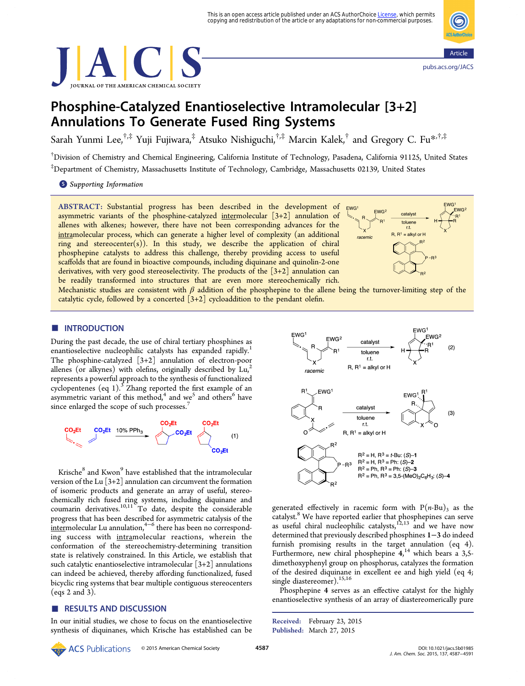



# Phosphine-Catalyzed Enantioselective Intramolecular [3+2] Annulations To Generate Fused Ring Systems

Sarah Yunmi Lee,<sup>†,‡</sup> Yuji Fujiwara,<sup>‡</sup> Atsuko Nishiguchi,<sup>†,‡</sup> Marcin Kalek,<sup>†</sup> and Gregory C. Fu<sup>[\\*](#page-3-0),†,‡</sup>

† Division of Chemistry and Chemical Engineering, California Institute of Technology, Pasadena, California 91125, United States ‡ Department of Chemistry, Massachusetts Institute of Technology, Cambridge, Massachusetts 02139, United States

**S** [Supporting Information](#page-3-0)

ABSTRACT: Substantial progress has been described in the development of asymmetric variants of the phosphine-catalyzed intermolecular  $[3+2]$  annulation of allenes with alkenes; however, there have not been corresponding advances for the intramolecular process, which can generate a higher level of complexity (an additional ring and stereocenter $(s)$ ). In this study, we describe the application of chiral phosphepine catalysts to address this challenge, thereby providing access to useful scaffolds that are found in bioactive compounds, including diquinane and quinolin-2-one derivatives, with very good stereoselectivity. The products of the  $[3+2]$  annulation can be readily transformed into structures that are even more stereochemically rich.



Mechanistic studies are consistent with  $\beta$  addition of the phosphepine to the allene being the turnover-limiting step of the catalytic cycle, followed by a concerted  $[3+2]$  cycloaddition to the pendant olefin.

# **ENTRODUCTION**

During the past decade, the use of chiral tertiary phosphines as enantioselective nucleophilic catalysts has expanded rapidly.<sup>[1](#page-3-0)</sup> The phosphine-catalyzed [3+2] annulation of electron-poor allenes (or alkynes) with olefins, originally described by  $Lu^2$  $Lu^2$ represents a powerful approach to the synthesis of functionalized cyclopentenes (eq 1).<sup>[3](#page-3-0)</sup> Zhang reported the first example of an asymmetric variant of this method,<sup>[4](#page-3-0)</sup> and we<sup>[5](#page-3-0)</sup> and others<sup>[6](#page-3-0)</sup> have since enlarged the scope of such processes.<sup>[7](#page-3-0)</sup>



Krische<sup>[8](#page-3-0)</sup> and Kwon<sup>[9](#page-3-0)</sup> have established that the intramolecular version of the Lu  $[3+2]$  annulation can circumvent the formation of isomeric products and generate an array of useful, stereochemically rich fused ring systems, including diquinane and coumarin derivatives.[10](#page-3-0),[11](#page-3-0) To date, despite the considerable progress that has been described for asymmetric catalysis of the  $\frac{1}{2}$  intermolecular Lu annulation,<sup>[4](#page-3-0)-[6](#page-3-0)</sup> there has been no corresponding success with intramolecular reactions, wherein the conformation of the stereochemistry-determining transition state is relatively constrained. In this Article, we establish that such catalytic enantioselective intramolecular  $[3+2]$  annulations can indeed be achieved, thereby affording functionalized, fused bicyclic ring systems that bear multiple contiguous stereocenters (eqs 2 and 3).

## ■ RESULTS AND DISCUSSION

In our initial studies, we chose to focus on the enantioselective synthesis of diquinanes, which Krische has established can be



generated effectively in racemic form with  $P(n-Bu)$ <sub>3</sub> as the catalyst.<sup>[8](#page-3-0)</sup> We have reported earlier that phosphepines can serve as useful chiral nucleophilic catalysts,<sup>[12](#page-3-0),[13](#page-3-0)</sup> and we have now determined that previously described phosphines 1−3 do indeed furnish promising results in the target annulation (eq [4\)](#page-1-0). Furthermore, new chiral phosphepine 4,<sup>[14](#page-3-0)</sup> which bears a 3,5dimethoxyphenyl group on phosphorus, catalyzes the formation of the desired diquinane in excellent ee and high yield (eq [4;](#page-1-0) single diastereomer).<sup>[15,16](#page-3-0)</sup>

Phosphepine 4 serves as an effective catalyst for the highly enantioselective synthesis of an array of diastereomerically pure

© 2015 American Chemical Society <sup>4587</sup> [DOI: 10.1021/jacs.5b01985](http://dx.doi.org/10.1021/jacs.5b01985) **ACS** Publications

Received: February 23, 2015 Published: March 27, 2015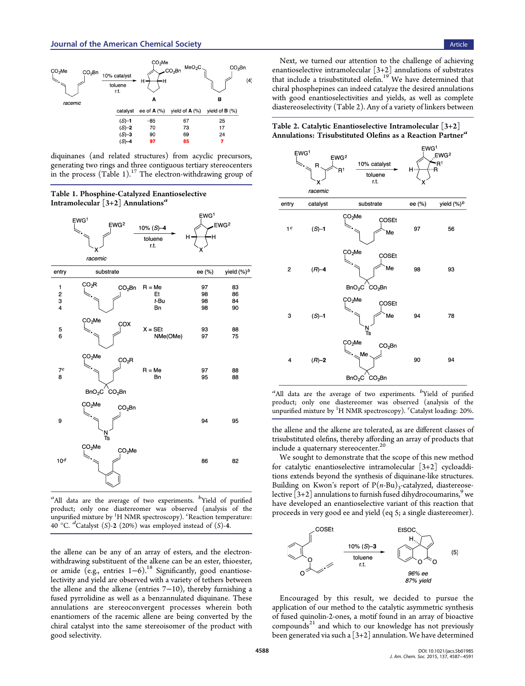<span id="page-1-0"></span>

diquinanes (and related structures) from acyclic precursors, generating two rings and three contiguous tertiary stereocenters in the process  $(Table 1).<sup>17</sup>$  $(Table 1).<sup>17</sup>$  $(Table 1).<sup>17</sup>$  The electron-withdrawing group of

Table 1. Phosphine-Catalyzed Enantioselective Intramolecular  $\left[3+2\right]$  Annulations<sup>a</sup>



<sup>a</sup>All data are the average of two experiments. <sup>b</sup>Yield of purified product; only one diastereomer was observed (analysis of the unpurified mixture by <sup>1</sup> H NMR spectroscopy). <sup>c</sup> Reaction temperature:  $40^{\circ}$ C.  $^d$ Catalyst (S)-2 (20%) was employed instead of (S)-4.

the allene can be any of an array of esters, and the electronwithdrawing substituent of the alkene can be an ester, thioester, or amide (e.g., entries 1−6).[18](#page-3-0) Significantly, good enantioselectivity and yield are observed with a variety of tethers between the allene and the alkene (entries 7−10), thereby furnishing a fused pyrrolidine as well as a benzannulated diquinane. These annulations are stereoconvergent processes wherein both enantiomers of the racemic allene are being converted by the chiral catalyst into the same stereoisomer of the product with good selectivity.

Next, we turned our attention to the challenge of achieving enantioselective intramolecular  $[3+2]$  annulations of substrates that include a trisubstituted olefin.<sup>[19](#page-4-0)</sup> We have determined that chiral phosphepines can indeed catalyze the desired annulations with good enantioselectivities and yields, as well as complete diastereoselectivity (Table 2). Any of a variety of linkers between

Table 2. Catalytic Enantioselective Intramolecular [3+2] Annulations: Trisubstituted Olefins as a Reaction Partner<sup>a</sup>



 $a$ All data are the average of two experiments.  $b$ Yield of purified product; only one diastereomer was observed (analysis of the unpurified mixture by <sup>1</sup> H NMR spectroscopy). <sup>c</sup> Catalyst loading: 20%.

the allene and the alkene are tolerated, as are different classes of trisubstituted olefins, thereby affording an array of products that include a quaternary stereocenter.<sup>[20](#page-4-0)</sup>

We sought to demonstrate that the scope of this new method for catalytic enantioselective intramolecular [3+2] cycloadditions extends beyond the synthesis of diquinane-like structures. Building on Kwon's report of  $P(n-Bu)$ <sub>3</sub>-catalyzed, diastereoselective  $[3+2]$  annulations to furnish fused dihydrocoumarins,<sup>[9](#page-3-0)</sup> we have developed an enantioselective variant of this reaction that proceeds in very good ee and yield (eq 5; a single diastereomer).



Encouraged by this result, we decided to pursue the application of our method to the catalytic asymmetric synthesis of fused quinolin-2-ones, a motif found in an array of bioactive compounds $^{21}$  $^{21}$  $^{21}$  and which to our knowledge has not previously been generated via such a  $[3+2]$  annulation. We have determined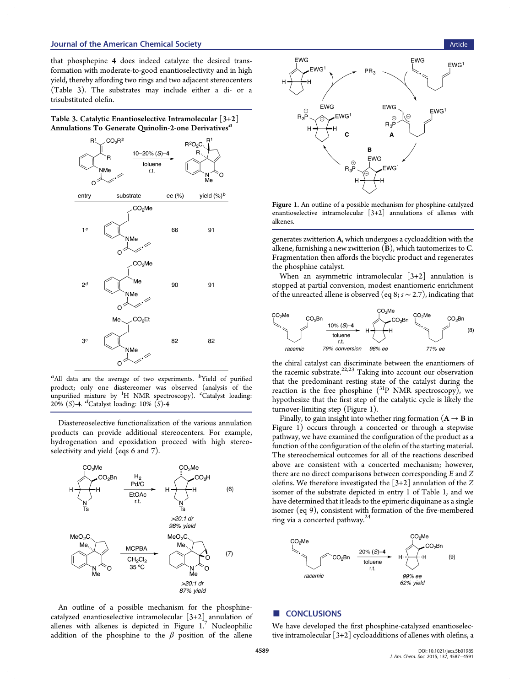that phosphepine 4 does indeed catalyze the desired transformation with moderate-to-good enantioselectivity and in high yield, thereby affording two rings and two adjacent stereocenters (Table 3). The substrates may include either a di- or a trisubstituted olefin.

| Table 3. Catalytic Enantioselective Intramolecular $\lceil 3+2 \rceil$ |  |
|------------------------------------------------------------------------|--|
| Annulations To Generate Quinolin-2-one Derivatives"                    |  |



 $a$ All data are the average of two experiments.  $b$ Yield of purified product; only one diastereomer was observed (analysis of the unpurified mixture by <sup>1</sup> H NMR spectroscopy). <sup>c</sup> Catalyst loading:  $20\%$  (S)-4. <sup>*d*</sup>Catalyst loading: 10% (S)-4

Diastereoselective functionalization of the various annulation products can provide additional stereocenters. For example, hydrogenation and epoxidation proceed with high stereoselectivity and yield (eqs 6 and 7).



An outline of a possible mechanism for the phosphinecatalyzed enantioselective intramolecular [3+2] annulation of allenes with alkenes is depicted in Figure  $1.^{7}$  $1.^{7}$  $1.^{7}$  Nucleophilic addition of the phosphine to the  $\beta$  position of the allene



Figure 1. An outline of a possible mechanism for phosphine-catalyzed enantioselective intramolecular [3+2] annulations of allenes with alkenes.

generates zwitterion A, which undergoes a cycloaddition with the alkene, furnishing a new zwitterion (B), which tautomerizes to C. Fragmentation then affords the bicyclic product and regenerates the phosphine catalyst.

When an asymmetric intramolecular [3+2] annulation is stopped at partial conversion, modest enantiomeric enrichment of the unreacted allene is observed (eq 8;  $s \sim 2.7$ ), indicating that



the chiral catalyst can discriminate between the enantiomers of the racemic substrate.<sup>[22,23](#page-4-0)</sup> Taking into account our observation that the predominant resting state of the catalyst during the reaction is the free phosphine  $(^{31}P$  NMR spectroscopy), we hypothesize that the first step of the catalytic cycle is likely the turnover-limiting step (Figure 1).

Finally, to gain insight into whether ring formation  $(A \rightarrow B$  in Figure 1) occurs through a concerted or through a stepwise pathway, we have examined the configuration of the product as a function of the configuration of the olefin of the starting material. The stereochemical outcomes for all of the reactions described above are consistent with a concerted mechanism; however, there are no direct comparisons between corresponding  $E$  and  $Z$ olefins. We therefore investigated the  $[3+2]$  annulation of the Z isomer of the substrate depicted in entry 1 of Table [1,](#page-1-0) and we have determined that it leads to the epimeric diquinane as a single isomer (eq 9), consistent with formation of the five-membered ring via a concerted pathway. $^{24}$  $^{24}$  $^{24}$ 



# ■ CONCLUSIONS

We have developed the first phosphine-catalyzed enantioselective intramolecular [3+2] cycloadditions of allenes with olefins, a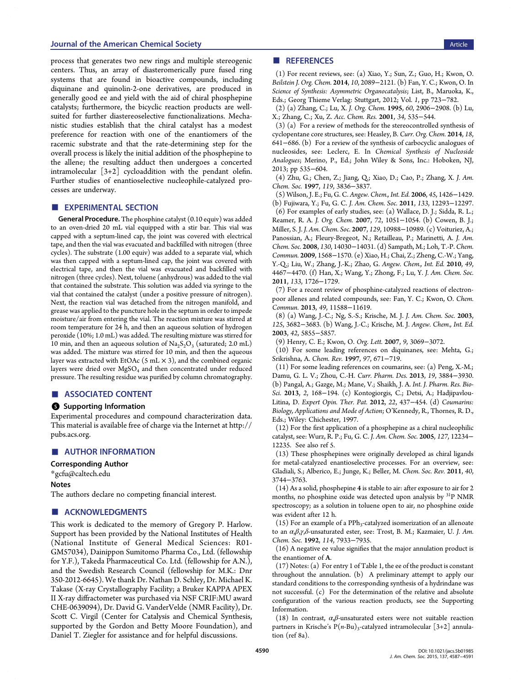## <span id="page-3-0"></span>**Journal of the American Chemical Society** Article Article Article Article Article Article Article Article Article

process that generates two new rings and multiple stereogenic centers. Thus, an array of diasteromerically pure fused ring systems that are found in bioactive compounds, including diquinane and quinolin-2-one derivatives, are produced in generally good ee and yield with the aid of chiral phosphepine catalysts; furthermore, the bicyclic reaction products are wellsuited for further diastereoselective functionalizations. Mechanistic studies establish that the chiral catalyst has a modest preference for reaction with one of the enantiomers of the racemic substrate and that the rate-determining step for the overall process is likely the initial addition of the phosphepine to the allene; the resulting adduct then undergoes a concerted intramolecular  $[3+2]$  cycloaddition with the pendant olefin. Further studies of enantioselective nucleophile-catalyzed processes are underway.

## **EXPERIMENTAL SECTION**

General Procedure. The phosphine catalyst (0.10 equiv) was added to an oven-dried 20 mL vial equipped with a stir bar. This vial was capped with a septum-lined cap, the joint was covered with electrical tape, and then the vial was evacuated and backfilled with nitrogen (three cycles). The substrate (1.00 equiv) was added to a separate vial, which was then capped with a septum-lined cap, the joint was covered with electrical tape, and then the vial was evacuated and backfilled with nitrogen (three cycles). Next, toluene (anhydrous) was added to the vial that contained the substrate. This solution was added via syringe to the vial that contained the catalyst (under a positive pressure of nitrogen). Next, the reaction vial was detached from the nitrogen manifold, and grease was applied to the puncture hole in the septum in order to impede moisture/air from entering the vial. The reaction mixture was stirred at room temperature for 24 h, and then an aqueous solution of hydrogen peroxide (10%; 1.0 mL) was added. The resulting mixture was stirred for 10 min, and then an aqueous solution of  $\text{Na}_2\text{S}_2\text{O}_3$  (saturated; 2.0 mL) was added. The mixture was stirred for 10 min, and then the aqueous layer was extracted with EtOAc (5 mL  $\times$  3), and the combined organic layers were dried over MgSO<sub>4</sub> and then concentrated under reduced pressure. The resulting residue was purified by column chromatography.

## ■ ASSOCIATED CONTENT

#### **S** Supporting Information

Experimental procedures and compound characterization data. This material is available free of charge via the Internet at [http://](http://pubs.acs.org) [pubs.acs.org](http://pubs.acs.org).

#### ■ AUTHOR INFORMATION

#### Corresponding Author

\*[gcfu@caltech.edu](mailto:gcfu@caltech.edu)

#### Notes

The authors declare no competing financial interest.

## ■ ACKNOWLEDGMENTS

This work is dedicated to the memory of Gregory P. Harlow. Support has been provided by the National Institutes of Health (National Institute of General Medical Sciences: R01- GM57034), Dainippon Sumitomo Pharma Co., Ltd. (fellowship for Y.F.), Takeda Pharmaceutical Co. Ltd. (fellowship for A.N.), and the Swedish Research Council (fellowship for M.K.: Dnr 350-2012-6645). We thank Dr. Nathan D. Schley, Dr. Michael K. Takase (X-ray Crystallography Facility; a Bruker KAPPA APEX II X-ray diffractometer was purchased via NSF CRIF:MU award CHE-0639094), Dr. David G. VanderVelde (NMR Facility), Dr. Scott C. Virgil (Center for Catalysis and Chemical Synthesis, supported by the Gordon and Betty Moore Foundation), and Daniel T. Ziegler for assistance and for helpful discussions.

# ■ REFERENCES

(1) For recent reviews, see: (a) Xiao, Y.; Sun, Z.; Guo, H.; Kwon, O. Beilstein J. Org. Chem. 2014, 10, 2089−2121. (b) Fan, Y. C.; Kwon, O. In Science of Synthesis: Asymmetric Organocatalysis; List, B., Maruoka, K., Eds.; Georg Thieme Verlag: Stuttgart, 2012; Vol. 1, pp 723−782.

(2) (a) Zhang, C.; Lu, X. J. Org. Chem. 1995, 60, 2906−2908. (b) Lu, X.; Zhang, C.; Xu, Z. Acc. Chem. Res. 2001, 34, 535−544.

(3) (a) For a review of methods for the stereocontrolled synthesis of cyclopentane core structures, see: Heasley, B. Curr. Org. Chem. 2014, 18, 641−686. (b) For a review of the synthesis of carbocyclic analogues of nucleosides, see: Leclerc, E. In Chemical Synthesis of Nucleoside Analogues; Merino, P., Ed.; John Wiley & Sons, Inc.: Hoboken, NJ, 2013; pp 535−604.

(4) Zhu, G.; Chen, Z.; Jiang, Q.; Xiao, D.; Cao, P.; Zhang, X. J. Am. Chem. Soc. 1997, 119, 3836−3837.

(5) Wilson, J. E.; Fu, G. C. Angew. Chem., Int. Ed. 2006, 45, 1426−1429. (b) Fujiwara, Y.; Fu, G. C. J. Am. Chem. Soc. 2011, 133, 12293−12297. (6) For examples of early studies, see: (a) Wallace, D. J.; Sidda, R. L.; Reamer, R. A. J. Org. Chem. 2007, 72, 1051−1054. (b) Cowen, B. J.; Miller, S. J. J. Am. Chem. Soc. 2007, 129, 10988−10989. (c) Voituriez, A.; Panossian, A.; Fleury-Bregeot, N.; Retailleau, P.; Marinetti, A. J. Am. Chem. Soc. 2008, 130, 14030−14031. (d) Sampath, M.; Loh, T.-P. Chem. Commun. 2009, 1568−1570. (e) Xiao, H.; Chai, Z.; Zheng, C.-W.; Yang, Y.-Q.; Liu, W.; Zhang, J.-K.; Zhao, G. Angew. Chem., Int. Ed. 2010, 49, 4467−4470. (f) Han, X.; Wang, Y.; Zhong, F.; Lu, Y. J. Am. Chem. Soc.

2011, 133, 1726−1729. (7) For a recent review of phosphine-catalyzed reactions of electronpoor allenes and related compounds, see: Fan, Y. C.; Kwon, O. Chem. Commun. 2013, 49, 11588−11619.

(8) (a) Wang, J.-C.; Ng, S.-S.; Krische, M. J. J. Am. Chem. Soc. 2003, 125, 3682−3683. (b) Wang, J.-C.; Krische, M. J. Angew. Chem., Int. Ed. 2003, 42, 5855−5857.

(9) Henry, C. E.; Kwon, O. Org. Lett. 2007, 9, 3069−3072.

(10) For some leading references on diquinanes, see: Mehta, G.; Srikrishna, A. Chem. Rev. 1997, 97, 671−719.

(11) For some leading references on coumarins, see: (a) Peng, X.-M.; Damu, G. L. V.; Zhou, C.-H. Curr. Pharm. Des. 2013, 19, 3884−3930. (b) Pangal, A.; Gazge, M.; Mane, V.; Shaikh, J. A. Int. J. Pharm. Res. Bio-Sci. 2013, 2, 168−194. (c) Kontogiorgis, C.; Detsi, A.; Hadjipavlou-Litina, D. Expert Opin. Ther. Pat. 2012, 22, 437−454. (d) Coumarins: Biology, Applications and Mode of Action; O'Kennedy, R., Thornes, R. D., Eds.; Wiley: Chichester, 1997.

(12) For the first application of a phosphepine as a chiral nucleophilic catalyst, see: Wurz, R. P.; Fu, G. C. J. Am. Chem. Soc. 2005, 127, 12234− 12235. See also ref 5.

(13) These phosphepines were originally developed as chiral ligands for metal-catalyzed enantioselective processes. For an overview, see: Gladiali, S.; Alberico, E.; Junge, K.; Beller, M. Chem. Soc. Rev. 2011, 40, 3744−3763.

(14) As a solid, phosphepine 4 is stable to air: after exposure to air for 2 months, no phosphine oxide was detected upon analysis by 31P NMR spectroscopy; as a solution in toluene open to air, no phosphine oxide was evident after 12 h.

(15) For an example of a  $\text{PPh}_3$ -catalyzed isomerization of an allenoate to an  $\alpha$ ,β,γ,δ-unsaturated ester, see: Trost, B. M.; Kazmaier, U. J. Am. Chem. Soc. 1992, 114, 7933−7935.

(16) A negative ee value signifies that the major annulation product is the enantiomer of A.

(17) Notes: (a) For entry 1 of Table [1,](#page-1-0) the ee of the product is constant throughout the annulation. (b) A preliminary attempt to apply our standard conditions to the corresponding synthesis of a hydrindane was not successful. (c) For the determination of the relative and absolute configuration of the various reaction products, see the Supporting Information.

(18) In contrast,  $\alpha$ , $\beta$ -unsaturated esters were not suitable reaction partners in Krische's  $P(n-Bu)$ <sub>3</sub>-catalyzed intramolecular [3+2] annulation (ref 8a).